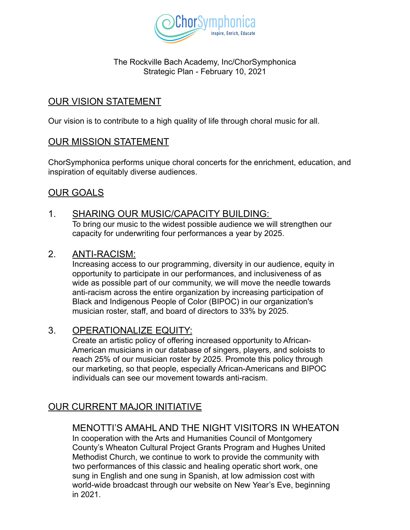

#### The Rockville Bach Academy, Inc/ChorSymphonica Strategic Plan - February 10, 2021

# OUR VISION STATEMENT

Our vision is to contribute to a high quality of life through choral music for all.

#### OUR MISSION STATEMENT

ChorSymphonica performs unique choral concerts for the enrichment, education, and inspiration of equitably diverse audiences.

# OUR GOALS

- 1. SHARING OUR MUSIC/CAPACITY BUILDING: To bring our music to the widest possible audience we will strengthen our capacity for underwriting four performances a year by 2025.
- 2. ANTI-RACISM:

Increasing access to our programming, diversity in our audience, equity in opportunity to participate in our performances, and inclusiveness of as wide as possible part of our community, we will move the needle towards anti-racism across the entire organization by increasing participation of Black and Indigenous People of Color (BIPOC) in our organization's musician roster, staff, and board of directors to 33% by 2025.

### 3. OPERATIONALIZE EQUITY:

Create an artistic policy of offering increased opportunity to African-American musicians in our database of singers, players, and soloists to reach 25% of our musician roster by 2025. Promote this policy through our marketing, so that people, especially African-Americans and BIPOC individuals can see our movement towards anti-racism.

### OUR CURRENT MAJOR INITIATIVE

#### MENOTTI'S AMAHL AND THE NIGHT VISITORS IN WHEATON

In cooperation with the Arts and Humanities Council of Montgomery County's Wheaton Cultural Project Grants Program and Hughes United Methodist Church, we continue to work to provide the community with two performances of this classic and healing operatic short work, one sung in English and one sung in Spanish, at low admission cost with world-wide broadcast through our website on New Year's Eve, beginning in 2021.